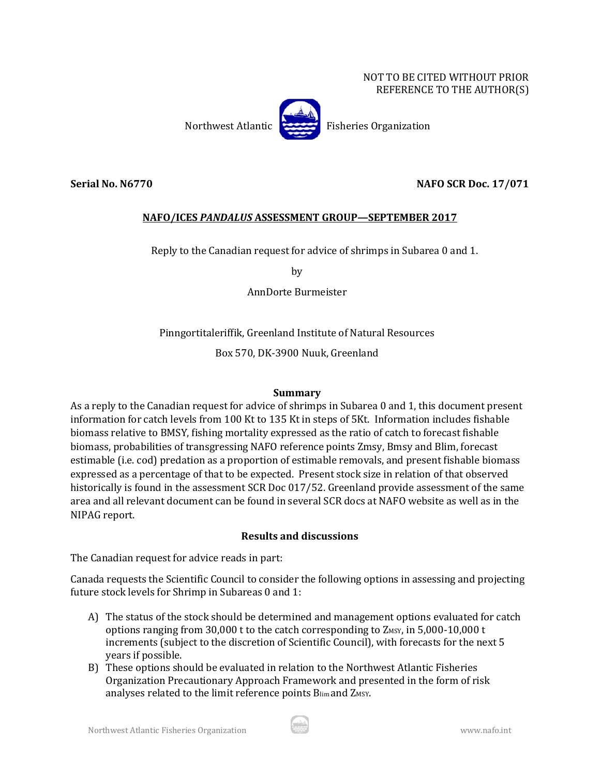#### NOT TO BE CITED WITHOUT PRIOR REFERENCE TO THE AUTHOR(S)



## **Serial No. N6770 NAFO SCR Doc. 17/071**

# **NAFO/ICES** *PANDALUS* **ASSESSMENT GROUP—SEPTEMBER 2017**

Reply to the Canadian request for advice of shrimps in Subarea 0 and 1.

by

AnnDorte Burmeister

Pinngortitaleriffik, Greenland Institute of Natural Resources

Box 570, DK-3900 Nuuk, Greenland

## **Summary**

As a reply to the Canadian request for advice of shrimps in Subarea 0 and 1, this document present information for catch levels from 100 Kt to 135 Kt in steps of 5Kt. Information includes fishable biomass relative to BMSY, fishing mortality expressed as the ratio of catch to forecast fishable biomass, probabilities of transgressing NAFO reference points Zmsy, Bmsy and Blim, forecast estimable (i.e. cod) predation as a proportion of estimable removals, and present fishable biomass expressed as a percentage of that to be expected. Present stock size in relation of that observed historically is found in the assessment SCR Doc 017/52. Greenland provide assessment of the same area and all relevant document can be found in several SCR docs at NAFO website as well as in the NIPAG report.

## **Results and discussions**

The Canadian request for advice reads in part:

Canada requests the Scientific Council to consider the following options in assessing and projecting future stock levels for Shrimp in Subareas 0 and 1:

- A) The status of the stock should be determined and management options evaluated for catch options ranging from 30,000 t to the catch corresponding to  $Z_{MSY}$ , in  $5,000-10,000$  t increments (subject to the discretion of Scientific Council), with forecasts for the next 5 years if possible.
- B) These options should be evaluated in relation to the Northwest Atlantic Fisheries Organization Precautionary Approach Framework and presented in the form of risk analyses related to the limit reference points Blim and ZMSY.

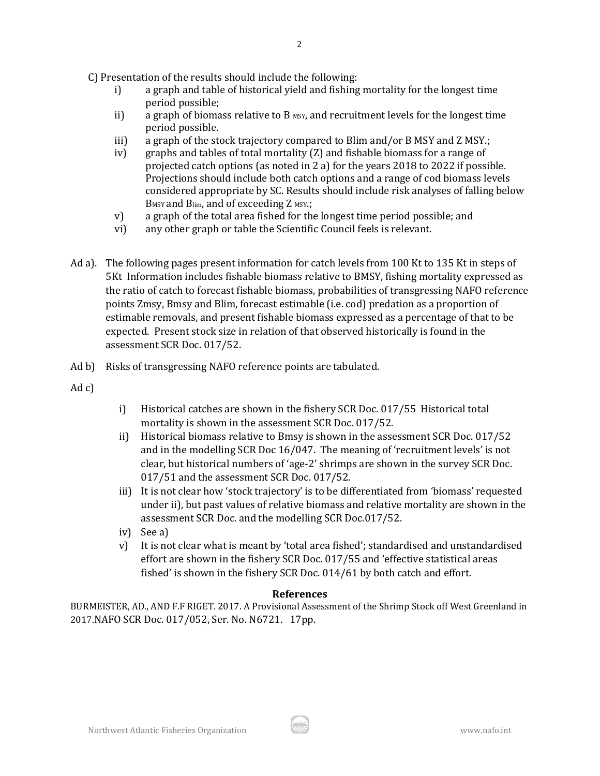C) Presentation of the results should include the following:

i) a graph and table of historical yield and fishing mortality for the longest time period possible;

2

- ii) a graph of biomass relative to B  $_{MST}$ , and recruitment levels for the longest time period possible.
- iii) a graph of the stock trajectory compared to Blim and/or B MSY and Z MSY.;
- iv) graphs and tables of total mortality (Z) and fishable biomass for a range of projected catch options (as noted in 2 a) for the years 2018 to 2022 if possible. Projections should include both catch options and a range of cod biomass levels considered appropriate by SC. Results should include risk analyses of falling below B<sub>MSY</sub> and B<sub>lim</sub>, and of exceeding Z MSY.;
- v) a graph of the total area fished for the longest time period possible; and
- vi) any other graph or table the Scientific Council feels is relevant.
- Ad a). The following pages present information for catch levels from 100 Kt to 135 Kt in steps of 5Kt Information includes fishable biomass relative to BMSY, fishing mortality expressed as the ratio of catch to forecast fishable biomass, probabilities of transgressing NAFO reference points Zmsy, Bmsy and Blim, forecast estimable (i.e. cod) predation as a proportion of estimable removals, and present fishable biomass expressed as a percentage of that to be expected. Present stock size in relation of that observed historically is found in the assessment SCR Doc. 017/52.
- Ad b) Risks of transgressing NAFO reference points are tabulated.

Ad c)

- i) Historical catches are shown in the fishery SCR Doc. 017/55 Historical total mortality is shown in the assessment SCR Doc. 017/52.
- ii) Historical biomass relative to Bmsy is shown in the assessment SCR Doc. 017/52 and in the modelling SCR Doc 16/047. The meaning of 'recruitment levels' is not clear, but historical numbers of 'age-2' shrimps are shown in the survey SCR Doc. 017/51 and the assessment SCR Doc. 017/52.
- iii) It is not clear how 'stock trajectory' is to be differentiated from 'biomass' requested under ii), but past values of relative biomass and relative mortality are shown in the assessment SCR Doc. and the modelling SCR Doc.017/52.
- iv) See a)
- v) It is not clear what is meant by 'total area fished'; standardised and unstandardised effort are shown in the fishery SCR Doc. 017/55 and 'effective statistical areas fished' is shown in the fishery SCR Doc. 014/61 by both catch and effort.

#### **References**

BURMEISTER, AD., AND F.F RIGET. 2017. A Provisional Assessment of the Shrimp Stock off West Greenland in 2017.NAFO SCR Doc. 017/052, Ser. No. N6721. 17pp.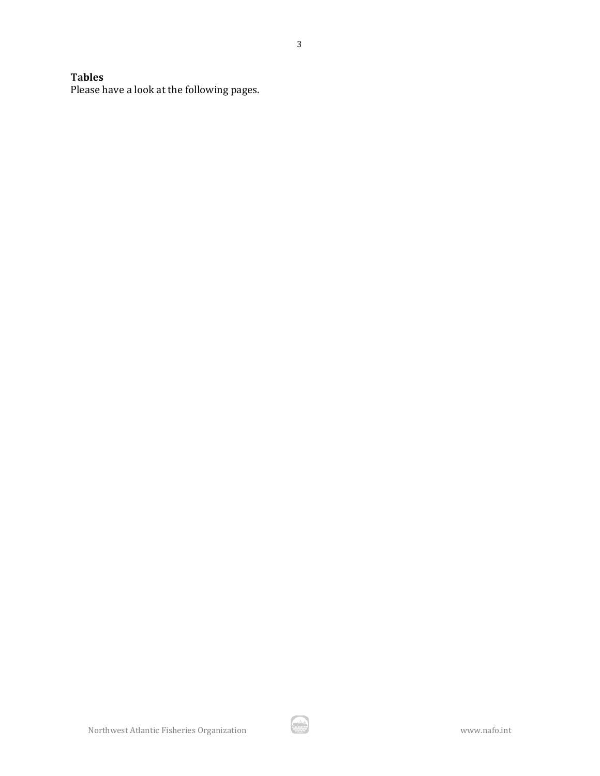# **Tables**

Please have a look at the following pages.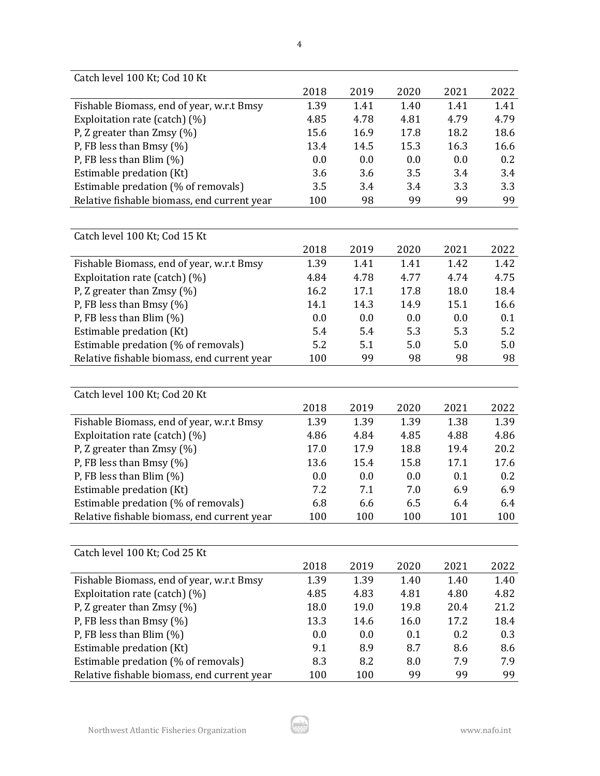| Catch level 100 Kt; Cod 10 Kt               |      |      |      |      |      |
|---------------------------------------------|------|------|------|------|------|
|                                             | 2018 | 2019 | 2020 | 2021 | 2022 |
| Fishable Biomass, end of year, w.r.t Bmsy   | 1.39 | 1.41 | 1.40 | 1.41 | 1.41 |
| Exploitation rate (catch) (%)               | 4.85 | 4.78 | 4.81 | 4.79 | 4.79 |
| P, Z greater than $Zmsy$ (%)                | 15.6 | 16.9 | 17.8 | 18.2 | 18.6 |
| P, FB less than Bmsy $(\%)$                 | 13.4 | 14.5 | 15.3 | 16.3 | 16.6 |
| P, FB less than Blim $(\%)$                 | 0.0  | 0.0  | 0.0  | 0.0  | 0.2  |
| Estimable predation (Kt)                    | 3.6  | 3.6  | 3.5  | 3.4  | 3.4  |
| Estimable predation (% of removals)         | 3.5  | 3.4  | 3.4  | 3.3  | 3.3  |
| Relative fishable biomass, end current year | 100  | 98   | 99   | 99   | 99   |
|                                             |      |      |      |      |      |
| Catch level 100 Kt; Cod 15 Kt               |      |      |      |      |      |
|                                             | 2018 | 2019 | 2020 | 2021 | 2022 |
| Fishable Biomass, end of year, w.r.t Bmsy   | 1.39 | 1.41 | 1.41 | 1.42 | 1.42 |
| Exploitation rate (catch) (%)               | 4.84 | 4.78 | 4.77 | 4.74 | 4.75 |
| P, Z greater than Zmsy (%)                  | 16.2 | 17.1 | 17.8 | 18.0 | 18.4 |
| P, FB less than Bmsy $(\%)$                 | 14.1 | 14.3 | 14.9 | 15.1 | 16.6 |
| P, FB less than Blim $(\%)$                 | 0.0  | 0.0  | 0.0  | 0.0  | 0.1  |
| Estimable predation (Kt)                    | 5.4  | 5.4  | 5.3  | 5.3  | 5.2  |
| Estimable predation (% of removals)         | 5.2  | 5.1  | 5.0  | 5.0  | 5.0  |
| Relative fishable biomass, end current year | 100  | 99   | 98   | 98   | 98   |
|                                             |      |      |      |      |      |
| Catch level 100 Kt; Cod 20 Kt               |      |      |      |      |      |
|                                             | 2018 | 2019 | 2020 | 2021 | 2022 |
| Fishable Biomass, end of year, w.r.t Bmsy   | 1.39 | 1.39 | 1.39 | 1.38 | 1.39 |
| Exploitation rate (catch) (%)               | 4.86 | 4.84 | 4.85 | 4.88 | 4.86 |
| P, Z greater than $Zmsy$ (%)                | 17.0 | 17.9 | 18.8 | 19.4 | 20.2 |
| P, FB less than Bmsy $(\%)$                 | 13.6 | 15.4 | 15.8 | 17.1 | 17.6 |
| P, FB less than Blim (%)                    | 0.0  | 0.0  | 0.0  | 0.1  | 0.2  |
| Estimable predation (Kt)                    | 7.2  | 7.1  | 7.0  | 6.9  | 6.9  |
| Estimable predation (% of removals)         | 6.8  | 6.6  | 6.5  | 6.4  | 6.4  |
| Relative fishable biomass, end current year | 100  | 100  | 100  | 101  | 100  |
|                                             |      |      |      |      |      |
| Catch level 100 Kt; Cod 25 Kt               |      |      |      |      |      |
|                                             | 2018 | 2019 | 2020 | 2021 | 2022 |
| Fishable Biomass, end of year, w.r.t Bmsy   | 1.39 | 1.39 | 1.40 | 1.40 | 1.40 |
| Exploitation rate (catch) (%)               | 4.85 | 4.83 | 4.81 | 4.80 | 4.82 |
| P, Z greater than $Zmsy$ (%)                | 18.0 | 19.0 | 19.8 | 20.4 | 21.2 |
| P, FB less than Bmsy (%)                    | 13.3 | 14.6 | 16.0 | 17.2 | 18.4 |
| P, FB less than Blim $(\%)$                 | 0.0  | 0.0  | 0.1  | 0.2  | 0.3  |
| Estimable predation (Kt)                    | 9.1  | 8.9  | 8.7  | 8.6  | 8.6  |
| Estimable predation (% of removals)         | 8.3  | 8.2  | 8.0  | 7.9  | 7.9  |
|                                             |      |      | 99   |      | 99   |
| Relative fishable biomass, end current year | 100  | 100  |      | 99   |      |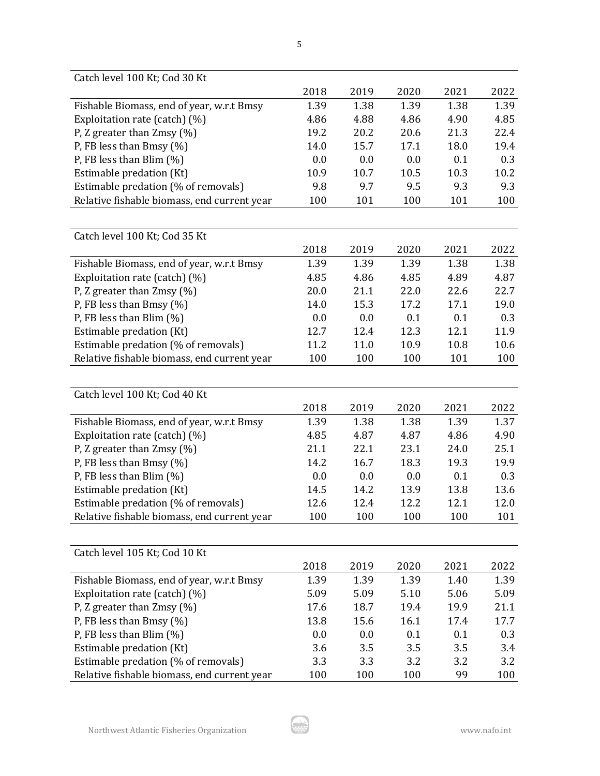| Catch level 100 Kt; Cod 30 Kt               |      |      |      |      |      |
|---------------------------------------------|------|------|------|------|------|
|                                             | 2018 | 2019 | 2020 | 2021 | 2022 |
| Fishable Biomass, end of year, w.r.t Bmsy   | 1.39 | 1.38 | 1.39 | 1.38 | 1.39 |
| Exploitation rate (catch) (%)               | 4.86 | 4.88 | 4.86 | 4.90 | 4.85 |
| P, Z greater than $Zmsy$ (%)                | 19.2 | 20.2 | 20.6 | 21.3 | 22.4 |
| P, FB less than Bmsy $(\%)$                 | 14.0 | 15.7 | 17.1 | 18.0 | 19.4 |
| P, FB less than Blim $(\%)$                 | 0.0  | 0.0  | 0.0  | 0.1  | 0.3  |
| Estimable predation (Kt)                    | 10.9 | 10.7 | 10.5 | 10.3 | 10.2 |
| Estimable predation (% of removals)         | 9.8  | 9.7  | 9.5  | 9.3  | 9.3  |
| Relative fishable biomass, end current year | 100  | 101  | 100  | 101  | 100  |
|                                             |      |      |      |      |      |
| Catch level 100 Kt; Cod 35 Kt               |      |      |      |      |      |
|                                             | 2018 | 2019 | 2020 | 2021 | 2022 |
| Fishable Biomass, end of year, w.r.t Bmsy   | 1.39 | 1.39 | 1.39 | 1.38 | 1.38 |
| Exploitation rate (catch) (%)               | 4.85 | 4.86 | 4.85 | 4.89 | 4.87 |
| P, Z greater than $Zmsy$ (%)                | 20.0 | 21.1 | 22.0 | 22.6 | 22.7 |
| P, FB less than Bmsy (%)                    | 14.0 | 15.3 | 17.2 | 17.1 | 19.0 |
| P, FB less than Blim $(\%)$                 | 0.0  | 0.0  | 0.1  | 0.1  | 0.3  |
| Estimable predation (Kt)                    | 12.7 | 12.4 | 12.3 | 12.1 | 11.9 |
| Estimable predation (% of removals)         | 11.2 | 11.0 | 10.9 | 10.8 | 10.6 |
| Relative fishable biomass, end current year | 100  | 100  | 100  | 101  | 100  |
|                                             |      |      |      |      |      |
| Catch level 100 Kt; Cod 40 Kt               |      |      |      |      |      |
|                                             | 2018 | 2019 | 2020 | 2021 | 2022 |
| Fishable Biomass, end of year, w.r.t Bmsy   | 1.39 | 1.38 | 1.38 | 1.39 | 1.37 |
| Exploitation rate (catch) (%)               | 4.85 | 4.87 | 4.87 | 4.86 | 4.90 |
| P, Z greater than $Zmsy$ (%)                | 21.1 | 22.1 | 23.1 | 24.0 | 25.1 |
| P, FB less than Bmsy (%)                    | 14.2 | 16.7 | 18.3 | 19.3 | 19.9 |
| P, FB less than Blim (%)                    | 0.0  | 0.0  | 0.0  | 0.1  | 0.3  |
| Estimable predation (Kt)                    | 14.5 | 14.2 | 13.9 | 13.8 | 13.6 |
| Estimable predation (% of removals)         | 12.6 | 12.4 | 12.2 | 12.1 | 12.0 |
| Relative fishable biomass, end current year | 100  | 100  | 100  | 100  | 101  |
|                                             |      |      |      |      |      |
| Catch level 105 Kt; Cod 10 Kt               |      |      |      |      |      |
|                                             | 2018 | 2019 | 2020 | 2021 | 2022 |
| Fishable Biomass, end of year, w.r.t Bmsy   | 1.39 | 1.39 | 1.39 | 1.40 | 1.39 |
| Exploitation rate (catch) (%)               | 5.09 | 5.09 | 5.10 | 5.06 | 5.09 |
| P, Z greater than $Zmsy$ (%)                | 17.6 | 18.7 | 19.4 | 19.9 | 21.1 |
| P, FB less than Bmsy (%)                    | 13.8 | 15.6 | 16.1 | 17.4 | 17.7 |
| P, FB less than Blim (%)                    | 0.0  | 0.0  | 0.1  | 0.1  | 0.3  |
| Estimable predation (Kt)                    | 3.6  | 3.5  | 3.5  | 3.5  | 3.4  |
| Estimable predation (% of removals)         | 3.3  | 3.3  | 3.2  | 3.2  | 3.2  |
| Relative fishable biomass, end current year | 100  | 100  | 100  | 99   | 100  |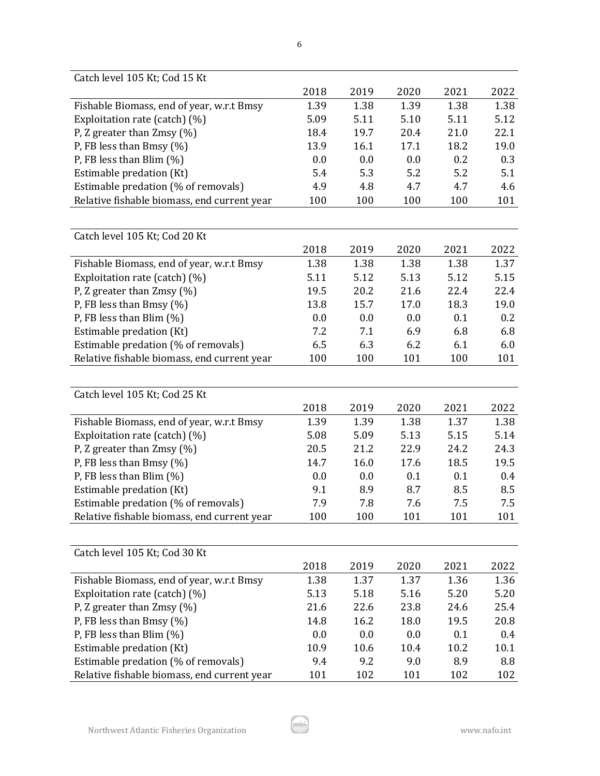| Catch level 105 Kt; Cod 15 Kt               |      |      |      |      |         |
|---------------------------------------------|------|------|------|------|---------|
|                                             | 2018 | 2019 | 2020 | 2021 | 2022    |
| Fishable Biomass, end of year, w.r.t Bmsy   | 1.39 | 1.38 | 1.39 | 1.38 | 1.38    |
| Exploitation rate (catch) (%)               | 5.09 | 5.11 | 5.10 | 5.11 | 5.12    |
| P, Z greater than $Zmsy$ (%)                | 18.4 | 19.7 | 20.4 | 21.0 | 22.1    |
| P, FB less than Bmsy $(\%)$                 | 13.9 | 16.1 | 17.1 | 18.2 | 19.0    |
| P, FB less than Blim $(\%)$                 | 0.0  | 0.0  | 0.0  | 0.2  | 0.3     |
| Estimable predation (Kt)                    | 5.4  | 5.3  | 5.2  | 5.2  | 5.1     |
| Estimable predation (% of removals)         | 4.9  | 4.8  | 4.7  | 4.7  | 4.6     |
| Relative fishable biomass, end current year | 100  | 100  | 100  | 100  | 101     |
|                                             |      |      |      |      |         |
| Catch level 105 Kt; Cod 20 Kt               |      |      |      |      |         |
|                                             | 2018 | 2019 | 2020 | 2021 | 2022    |
| Fishable Biomass, end of year, w.r.t Bmsy   | 1.38 | 1.38 | 1.38 | 1.38 | 1.37    |
| Exploitation rate (catch) (%)               | 5.11 | 5.12 | 5.13 | 5.12 | 5.15    |
| P, Z greater than Zmsy (%)                  | 19.5 | 20.2 | 21.6 | 22.4 | 22.4    |
| P, FB less than Bmsy $(\%)$                 | 13.8 | 15.7 | 17.0 | 18.3 | 19.0    |
| P, FB less than Blim $(\%)$                 | 0.0  | 0.0  | 0.0  | 0.1  | 0.2     |
| Estimable predation (Kt)                    | 7.2  | 7.1  | 6.9  | 6.8  | 6.8     |
| Estimable predation (% of removals)         | 6.5  | 6.3  | 6.2  | 6.1  | 6.0     |
| Relative fishable biomass, end current year | 100  | 100  | 101  | 100  | 101     |
|                                             |      |      |      |      |         |
| Catch level 105 Kt; Cod 25 Kt               |      |      |      |      |         |
|                                             | 2018 | 2019 | 2020 | 2021 | 2022    |
| Fishable Biomass, end of year, w.r.t Bmsy   | 1.39 | 1.39 | 1.38 | 1.37 | 1.38    |
| Exploitation rate (catch) (%)               | 5.08 | 5.09 | 5.13 | 5.15 | 5.14    |
| P, Z greater than $Zmsy$ (%)                | 20.5 | 21.2 | 22.9 | 24.2 | 24.3    |
| P, FB less than Bmsy (%)                    | 14.7 | 16.0 | 17.6 | 18.5 | 19.5    |
| P, FB less than Blim $(\%)$                 | 0.0  | 0.0  | 0.1  | 0.1  | 0.4     |
| Estimable predation (Kt)                    | 9.1  | 8.9  | 8.7  | 8.5  | 8.5     |
| Estimable predation (% of removals)         | 7.9  | 7.8  | 7.6  | 7.5  | 7.5     |
| Relative fishable biomass, end current year | 100  | 100  | 101  | 101  | 101     |
|                                             |      |      |      |      |         |
| Catch level 105 Kt; Cod 30 Kt               |      |      |      |      |         |
|                                             | 2018 | 2019 | 2020 | 2021 | 2022    |
| Fishable Biomass, end of year, w.r.t Bmsy   | 1.38 | 1.37 | 1.37 | 1.36 | 1.36    |
| Exploitation rate (catch) (%)               | 5.13 | 5.18 | 5.16 | 5.20 | 5.20    |
| P, Z greater than $Zmsy$ (%)                | 21.6 | 22.6 | 23.8 | 24.6 | 25.4    |
| P, FB less than Bmsy (%)                    | 14.8 | 16.2 | 18.0 | 19.5 | 20.8    |
| P, FB less than Blim $(\%)$                 | 0.0  | 0.0  | 0.0  | 0.1  | $0.4\,$ |
| Estimable predation (Kt)                    | 10.9 | 10.6 | 10.4 | 10.2 | 10.1    |
| Estimable predation (% of removals)         | 9.4  | 9.2  | 9.0  | 8.9  | 8.8     |
| Relative fishable biomass, end current year | 101  | 102  | 101  | 102  | 102     |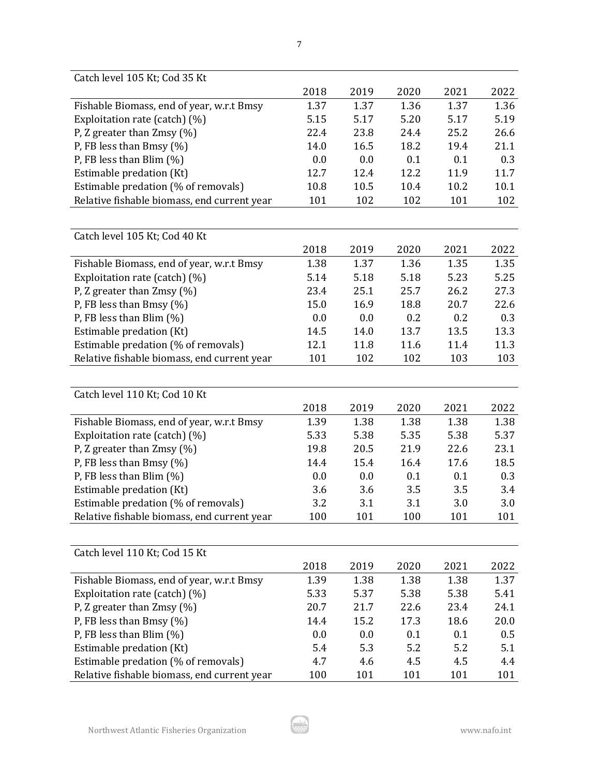| Catch level 105 Kt; Cod 35 Kt               |      |      |      |      |      |
|---------------------------------------------|------|------|------|------|------|
|                                             | 2018 | 2019 | 2020 | 2021 | 2022 |
| Fishable Biomass, end of year, w.r.t Bmsy   | 1.37 | 1.37 | 1.36 | 1.37 | 1.36 |
| Exploitation rate (catch) (%)               | 5.15 | 5.17 | 5.20 | 5.17 | 5.19 |
| P, Z greater than $Zmsy$ (%)                | 22.4 | 23.8 | 24.4 | 25.2 | 26.6 |
| P, FB less than Bmsy $(\%)$                 | 14.0 | 16.5 | 18.2 | 19.4 | 21.1 |
| P, FB less than Blim $(\%)$                 | 0.0  | 0.0  | 0.1  | 0.1  | 0.3  |
| Estimable predation (Kt)                    | 12.7 | 12.4 | 12.2 | 11.9 | 11.7 |
| Estimable predation (% of removals)         | 10.8 | 10.5 | 10.4 | 10.2 | 10.1 |
| Relative fishable biomass, end current year | 101  | 102  | 102  | 101  | 102  |
|                                             |      |      |      |      |      |
| Catch level 105 Kt; Cod 40 Kt               |      |      |      |      |      |
|                                             | 2018 | 2019 | 2020 | 2021 | 2022 |
| Fishable Biomass, end of year, w.r.t Bmsy   | 1.38 | 1.37 | 1.36 | 1.35 | 1.35 |
| Exploitation rate (catch) (%)               | 5.14 | 5.18 | 5.18 | 5.23 | 5.25 |
| P, Z greater than Zmsy (%)                  | 23.4 | 25.1 | 25.7 | 26.2 | 27.3 |
| P, FB less than Bmsy $(\%)$                 | 15.0 | 16.9 | 18.8 | 20.7 | 22.6 |
| P, FB less than Blim $(\%)$                 | 0.0  | 0.0  | 0.2  | 0.2  | 0.3  |
| Estimable predation (Kt)                    | 14.5 | 14.0 | 13.7 | 13.5 | 13.3 |
| Estimable predation (% of removals)         | 12.1 | 11.8 | 11.6 | 11.4 | 11.3 |
| Relative fishable biomass, end current year | 101  | 102  | 102  | 103  | 103  |
|                                             |      |      |      |      |      |
| Catch level 110 Kt; Cod 10 Kt               |      |      |      |      |      |
|                                             | 2018 | 2019 | 2020 | 2021 | 2022 |
| Fishable Biomass, end of year, w.r.t Bmsy   | 1.39 | 1.38 | 1.38 | 1.38 | 1.38 |
| Exploitation rate (catch) (%)               | 5.33 | 5.38 | 5.35 | 5.38 | 5.37 |
| P, Z greater than $Zmsy$ (%)                | 19.8 | 20.5 | 21.9 | 22.6 | 23.1 |
| P, FB less than Bmsy (%)                    | 14.4 | 15.4 | 16.4 | 17.6 | 18.5 |
| P, FB less than Blim $(\%)$                 | 0.0  | 0.0  | 0.1  | 0.1  | 0.3  |
| Estimable predation (Kt)                    | 3.6  | 3.6  | 3.5  | 3.5  | 3.4  |
| Estimable predation (% of removals)         | 3.2  | 3.1  | 3.1  | 3.0  | 3.0  |
| Relative fishable biomass, end current year | 100  | 101  | 100  | 101  | 101  |
|                                             |      |      |      |      |      |
| Catch level 110 Kt; Cod 15 Kt               |      |      |      |      |      |
|                                             | 2018 | 2019 | 2020 | 2021 | 2022 |
| Fishable Biomass, end of year, w.r.t Bmsy   | 1.39 | 1.38 | 1.38 | 1.38 | 1.37 |
| Exploitation rate (catch) (%)               | 5.33 | 5.37 | 5.38 | 5.38 | 5.41 |
| P, Z greater than $Z$ msy (%)               | 20.7 | 21.7 | 22.6 | 23.4 | 24.1 |
| P, FB less than Bmsy (%)                    | 14.4 | 15.2 | 17.3 | 18.6 | 20.0 |
| P, FB less than Blim $(\%)$                 | 0.0  | 0.0  | 0.1  | 0.1  | 0.5  |
| Estimable predation (Kt)                    | 5.4  | 5.3  | 5.2  | 5.2  | 5.1  |
| Estimable predation (% of removals)         | 4.7  | 4.6  | 4.5  | 4.5  | 4.4  |
| Relative fishable biomass, end current year | 100  | 101  | 101  | 101  | 101  |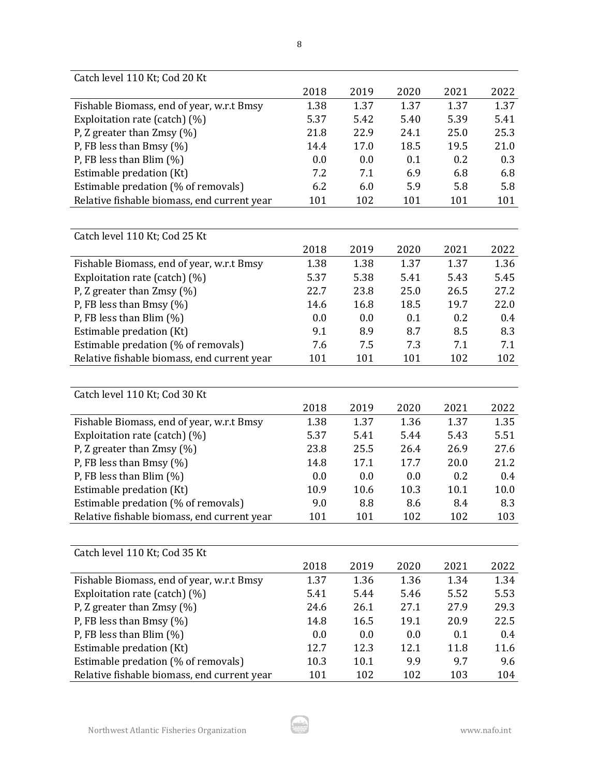| Catch level 110 Kt; Cod 20 Kt               |      |      |      |      |         |
|---------------------------------------------|------|------|------|------|---------|
|                                             | 2018 | 2019 | 2020 | 2021 | 2022    |
| Fishable Biomass, end of year, w.r.t Bmsy   | 1.38 | 1.37 | 1.37 | 1.37 | 1.37    |
| Exploitation rate (catch) (%)               | 5.37 | 5.42 | 5.40 | 5.39 | 5.41    |
| P, Z greater than $Zmsy$ (%)                | 21.8 | 22.9 | 24.1 | 25.0 | 25.3    |
| P, FB less than Bmsy $(\%)$                 | 14.4 | 17.0 | 18.5 | 19.5 | 21.0    |
| P, FB less than Blim $(\%)$                 | 0.0  | 0.0  | 0.1  | 0.2  | 0.3     |
| Estimable predation (Kt)                    | 7.2  | 7.1  | 6.9  | 6.8  | 6.8     |
| Estimable predation (% of removals)         | 6.2  | 6.0  | 5.9  | 5.8  | 5.8     |
| Relative fishable biomass, end current year | 101  | 102  | 101  | 101  | 101     |
|                                             |      |      |      |      |         |
| Catch level 110 Kt; Cod 25 Kt               |      |      |      |      |         |
|                                             | 2018 | 2019 | 2020 | 2021 | 2022    |
| Fishable Biomass, end of year, w.r.t Bmsy   | 1.38 | 1.38 | 1.37 | 1.37 | 1.36    |
| Exploitation rate (catch) (%)               | 5.37 | 5.38 | 5.41 | 5.43 | 5.45    |
| P, Z greater than Zmsy (%)                  | 22.7 | 23.8 | 25.0 | 26.5 | 27.2    |
| P, FB less than Bmsy (%)                    | 14.6 | 16.8 | 18.5 | 19.7 | 22.0    |
| P, FB less than Blim $(\%)$                 | 0.0  | 0.0  | 0.1  | 0.2  | 0.4     |
| Estimable predation (Kt)                    | 9.1  | 8.9  | 8.7  | 8.5  | 8.3     |
| Estimable predation (% of removals)         | 7.6  | 7.5  | 7.3  | 7.1  | 7.1     |
| Relative fishable biomass, end current year | 101  | 101  | 101  | 102  | 102     |
|                                             |      |      |      |      |         |
| Catch level 110 Kt; Cod 30 Kt               |      |      |      |      |         |
|                                             | 2018 | 2019 | 2020 | 2021 | 2022    |
| Fishable Biomass, end of year, w.r.t Bmsy   | 1.38 | 1.37 | 1.36 | 1.37 | 1.35    |
| Exploitation rate (catch) (%)               | 5.37 | 5.41 | 5.44 | 5.43 | 5.51    |
| P, Z greater than $Z$ msy (%)               | 23.8 | 25.5 | 26.4 | 26.9 | 27.6    |
| P, FB less than Bmsy $(\%)$                 | 14.8 | 17.1 | 17.7 | 20.0 | 21.2    |
| P, FB less than Blim $(\%)$                 | 0.0  | 0.0  | 0.0  | 0.2  | 0.4     |
| Estimable predation (Kt)                    | 10.9 | 10.6 | 10.3 | 10.1 | 10.0    |
| Estimable predation (% of removals)         | 9.0  | 8.8  | 8.6  | 8.4  | 8.3     |
| Relative fishable biomass, end current year | 101  | 101  | 102  | 102  | 103     |
|                                             |      |      |      |      |         |
| Catch level 110 Kt; Cod 35 Kt               |      |      |      |      |         |
|                                             | 2018 | 2019 | 2020 | 2021 | 2022    |
| Fishable Biomass, end of year, w.r.t Bmsy   | 1.37 | 1.36 | 1.36 | 1.34 | 1.34    |
| Exploitation rate (catch) (%)               | 5.41 | 5.44 | 5.46 | 5.52 | 5.53    |
| P, Z greater than $Zmsy$ (%)                | 24.6 | 26.1 | 27.1 | 27.9 | 29.3    |
| P, FB less than Bmsy (%)                    | 14.8 | 16.5 | 19.1 | 20.9 | 22.5    |
| P, FB less than Blim $(\%)$                 | 0.0  | 0.0  | 0.0  | 0.1  | $0.4\,$ |
| Estimable predation (Kt)                    | 12.7 | 12.3 | 12.1 | 11.8 | 11.6    |
| Estimable predation (% of removals)         | 10.3 | 10.1 | 9.9  | 9.7  | 9.6     |
| Relative fishable biomass, end current year | 101  | 102  | 102  | 103  | 104     |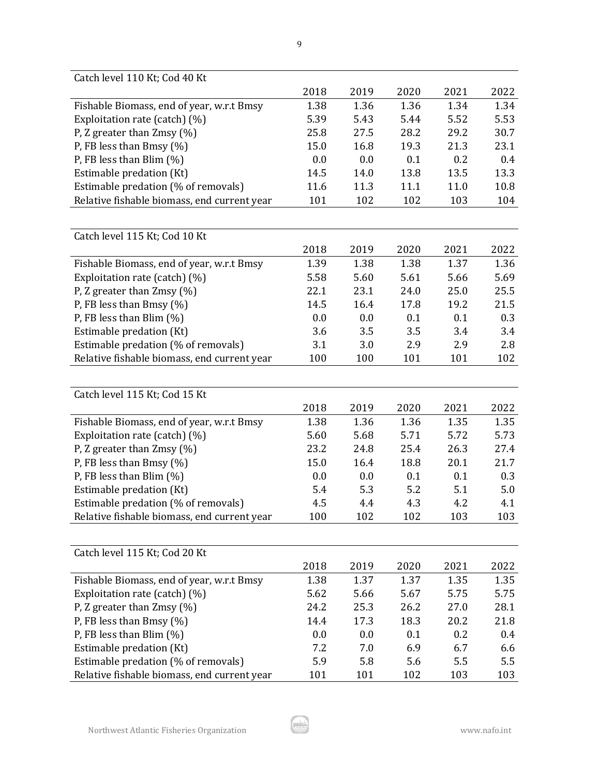| Catch level 110 Kt; Cod 40 Kt               |      |      |      |      |      |
|---------------------------------------------|------|------|------|------|------|
|                                             | 2018 | 2019 | 2020 | 2021 | 2022 |
| Fishable Biomass, end of year, w.r.t Bmsy   | 1.38 | 1.36 | 1.36 | 1.34 | 1.34 |
| Exploitation rate (catch) (%)               | 5.39 | 5.43 | 5.44 | 5.52 | 5.53 |
| P, Z greater than $Zmsy$ (%)                | 25.8 | 27.5 | 28.2 | 29.2 | 30.7 |
| P, FB less than Bmsy $(\%)$                 | 15.0 | 16.8 | 19.3 | 21.3 | 23.1 |
| P, FB less than Blim $(\%)$                 | 0.0  | 0.0  | 0.1  | 0.2  | 0.4  |
| Estimable predation (Kt)                    | 14.5 | 14.0 | 13.8 | 13.5 | 13.3 |
| Estimable predation (% of removals)         | 11.6 | 11.3 | 11.1 | 11.0 | 10.8 |
| Relative fishable biomass, end current year | 101  | 102  | 102  | 103  | 104  |
|                                             |      |      |      |      |      |
| Catch level 115 Kt; Cod 10 Kt               |      |      |      |      |      |
|                                             | 2018 | 2019 | 2020 | 2021 | 2022 |
| Fishable Biomass, end of year, w.r.t Bmsy   | 1.39 | 1.38 | 1.38 | 1.37 | 1.36 |
| Exploitation rate (catch) (%)               | 5.58 | 5.60 | 5.61 | 5.66 | 5.69 |
| P, Z greater than Zmsy (%)                  | 22.1 | 23.1 | 24.0 | 25.0 | 25.5 |
| P, FB less than Bmsy (%)                    | 14.5 | 16.4 | 17.8 | 19.2 | 21.5 |
| P, FB less than Blim $(\%)$                 | 0.0  | 0.0  | 0.1  | 0.1  | 0.3  |
| Estimable predation (Kt)                    | 3.6  | 3.5  | 3.5  | 3.4  | 3.4  |
| Estimable predation (% of removals)         | 3.1  | 3.0  | 2.9  | 2.9  | 2.8  |
| Relative fishable biomass, end current year | 100  | 100  | 101  | 101  | 102  |
|                                             |      |      |      |      |      |
| Catch level 115 Kt; Cod 15 Kt               |      |      |      |      |      |
|                                             | 2018 | 2019 | 2020 | 2021 | 2022 |
| Fishable Biomass, end of year, w.r.t Bmsy   | 1.38 | 1.36 | 1.36 | 1.35 | 1.35 |
| Exploitation rate (catch) (%)               | 5.60 | 5.68 | 5.71 | 5.72 | 5.73 |
| P, Z greater than $Zmsy$ (%)                | 23.2 | 24.8 | 25.4 | 26.3 | 27.4 |
| P, FB less than Bmsy (%)                    | 15.0 | 16.4 | 18.8 | 20.1 | 21.7 |
| P, FB less than Blim $(\%)$                 | 0.0  | 0.0  | 0.1  | 0.1  | 0.3  |
| Estimable predation (Kt)                    | 5.4  | 5.3  | 5.2  | 5.1  | 5.0  |
| Estimable predation (% of removals)         | 4.5  | 4.4  | 4.3  | 4.2  | 4.1  |
| Relative fishable biomass, end current year | 100  | 102  | 102  | 103  | 103  |
|                                             |      |      |      |      |      |
| Catch level 115 Kt; Cod 20 Kt               |      |      |      |      |      |
|                                             | 2018 | 2019 | 2020 | 2021 | 2022 |
| Fishable Biomass, end of year, w.r.t Bmsy   | 1.38 | 1.37 | 1.37 | 1.35 | 1.35 |
| Exploitation rate (catch) (%)               | 5.62 | 5.66 | 5.67 | 5.75 | 5.75 |
| P, Z greater than $Zmsy$ (%)                | 24.2 | 25.3 | 26.2 | 27.0 | 28.1 |
| P, FB less than Bmsy (%)                    | 14.4 | 17.3 | 18.3 | 20.2 | 21.8 |
| P, FB less than Blim (%)                    | 0.0  | 0.0  | 0.1  | 0.2  | 0.4  |
| Estimable predation (Kt)                    | 7.2  | 7.0  | 6.9  | 6.7  | 6.6  |
| Estimable predation (% of removals)         | 5.9  | 5.8  | 5.6  | 5.5  | 5.5  |
| Relative fishable biomass, end current year | 101  | 101  | 102  | 103  | 103  |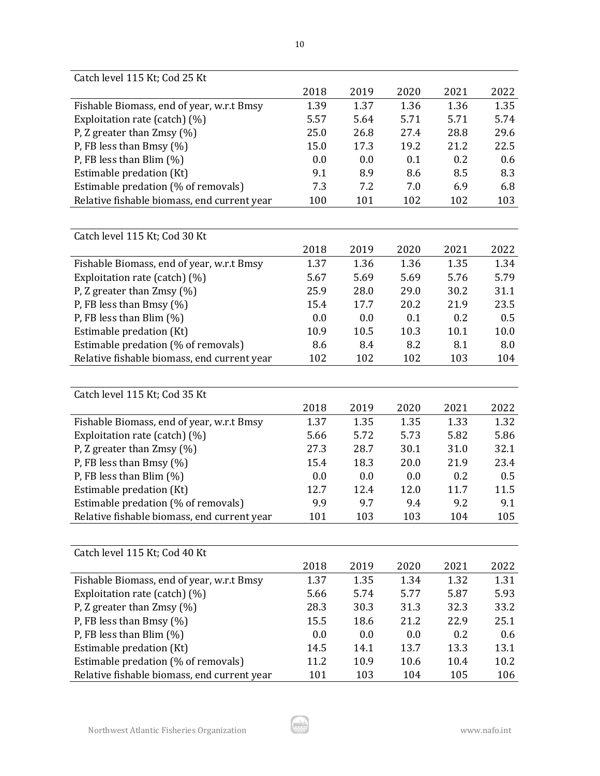| Catch level 115 Kt; Cod 25 Kt               |      |      |      |      |      |
|---------------------------------------------|------|------|------|------|------|
|                                             | 2018 | 2019 | 2020 | 2021 | 2022 |
| Fishable Biomass, end of year, w.r.t Bmsy   | 1.39 | 1.37 | 1.36 | 1.36 | 1.35 |
| Exploitation rate (catch) (%)               | 5.57 | 5.64 | 5.71 | 5.71 | 5.74 |
| P, Z greater than $Zmsy$ (%)                | 25.0 | 26.8 | 27.4 | 28.8 | 29.6 |
| P, FB less than Bmsy $(\%)$                 | 15.0 | 17.3 | 19.2 | 21.2 | 22.5 |
| P, FB less than Blim $(\%)$                 | 0.0  | 0.0  | 0.1  | 0.2  | 0.6  |
| Estimable predation (Kt)                    | 9.1  | 8.9  | 8.6  | 8.5  | 8.3  |
| Estimable predation (% of removals)         | 7.3  | 7.2  | 7.0  | 6.9  | 6.8  |
| Relative fishable biomass, end current year | 100  | 101  | 102  | 102  | 103  |
|                                             |      |      |      |      |      |
| Catch level 115 Kt; Cod 30 Kt               |      |      |      |      |      |
|                                             | 2018 | 2019 | 2020 | 2021 | 2022 |
| Fishable Biomass, end of year, w.r.t Bmsy   | 1.37 | 1.36 | 1.36 | 1.35 | 1.34 |
| Exploitation rate (catch) (%)               | 5.67 | 5.69 | 5.69 | 5.76 | 5.79 |
| P, Z greater than Zmsy (%)                  | 25.9 | 28.0 | 29.0 | 30.2 | 31.1 |
| P, FB less than Bmsy $(\%)$                 | 15.4 | 17.7 | 20.2 | 21.9 | 23.5 |
| P, FB less than Blim $(\%)$                 | 0.0  | 0.0  | 0.1  | 0.2  | 0.5  |
| Estimable predation (Kt)                    | 10.9 | 10.5 | 10.3 | 10.1 | 10.0 |
| Estimable predation (% of removals)         | 8.6  | 8.4  | 8.2  | 8.1  | 8.0  |
| Relative fishable biomass, end current year | 102  | 102  | 102  | 103  | 104  |
|                                             |      |      |      |      |      |
| Catch level 115 Kt; Cod 35 Kt               |      |      |      |      |      |
|                                             | 2018 | 2019 | 2020 | 2021 | 2022 |
| Fishable Biomass, end of year, w.r.t Bmsy   | 1.37 | 1.35 | 1.35 | 1.33 | 1.32 |
| Exploitation rate (catch) (%)               | 5.66 | 5.72 | 5.73 | 5.82 | 5.86 |
| P, Z greater than Zmsy (%)                  | 27.3 | 28.7 | 30.1 | 31.0 | 32.1 |
| P, FB less than Bmsy $(\%)$                 | 15.4 | 18.3 | 20.0 | 21.9 | 23.4 |
| P, FB less than Blim $(\%)$                 | 0.0  | 0.0  | 0.0  | 0.2  | 0.5  |
| Estimable predation (Kt)                    | 12.7 | 12.4 | 12.0 | 11.7 | 11.5 |
| Estimable predation (% of removals)         | 9.9  | 9.7  | 9.4  | 9.2  | 9.1  |
| Relative fishable biomass, end current year | 101  | 103  | 103  | 104  | 105  |
|                                             |      |      |      |      |      |
| Catch level 115 Kt; Cod 40 Kt               |      |      |      |      |      |
|                                             | 2018 | 2019 | 2020 | 2021 | 2022 |
| Fishable Biomass, end of year, w.r.t Bmsy   | 1.37 | 1.35 | 1.34 | 1.32 | 1.31 |
| Exploitation rate (catch) (%)               | 5.66 | 5.74 | 5.77 | 5.87 | 5.93 |
| P, Z greater than $Zmsy$ (%)                | 28.3 | 30.3 | 31.3 | 32.3 | 33.2 |
| P, FB less than Bmsy (%)                    | 15.5 | 18.6 | 21.2 | 22.9 | 25.1 |
| P, FB less than Blim (%)                    | 0.0  | 0.0  | 0.0  | 0.2  | 0.6  |
| Estimable predation (Kt)                    | 14.5 | 14.1 | 13.7 | 13.3 | 13.1 |
| Estimable predation (% of removals)         | 11.2 | 10.9 | 10.6 | 10.4 | 10.2 |
| Relative fishable biomass, end current year | 101  | 103  | 104  | 105  | 106  |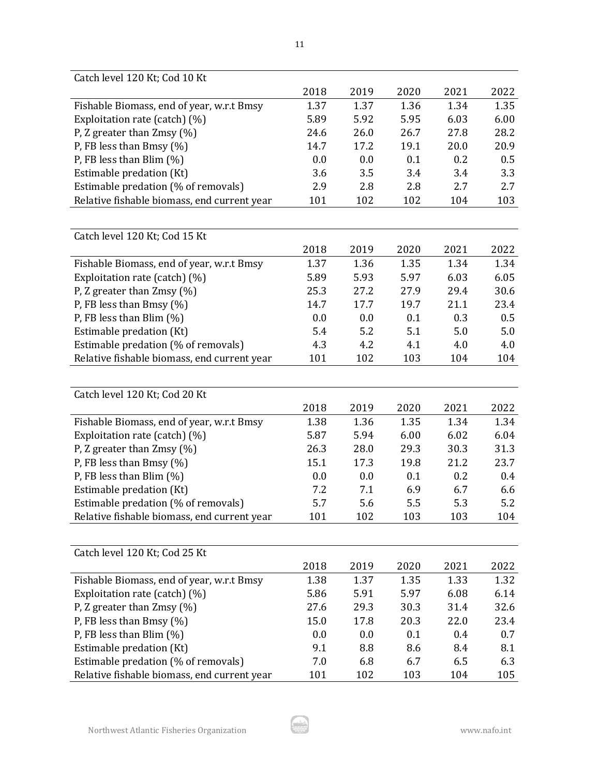| Catch level 120 Kt; Cod 10 Kt               |              |             |             |      |             |
|---------------------------------------------|--------------|-------------|-------------|------|-------------|
|                                             | 2018         | 2019        | 2020        | 2021 | 2022        |
| Fishable Biomass, end of year, w.r.t Bmsy   | 1.37         | 1.37        | 1.36        | 1.34 | 1.35        |
| Exploitation rate (catch) (%)               | 5.89         | 5.92        | 5.95        | 6.03 | 6.00        |
| P, Z greater than $Zmsy$ (%)                | 24.6         | 26.0        | 26.7        | 27.8 | 28.2        |
| P, FB less than Bmsy $(\%)$                 | 14.7         | 17.2        | 19.1        | 20.0 | 20.9        |
| P, FB less than Blim $(\%)$                 | 0.0          | 0.0         | 0.1         | 0.2  | 0.5         |
| Estimable predation (Kt)                    | 3.6          | 3.5         | 3.4         | 3.4  | 3.3         |
| Estimable predation (% of removals)         | 2.9          | 2.8         | 2.8         | 2.7  | 2.7         |
| Relative fishable biomass, end current year | 101          | 102         | 102         | 104  | 103         |
|                                             |              |             |             |      |             |
| Catch level 120 Kt; Cod 15 Kt               |              |             |             |      |             |
|                                             | 2018         | 2019        | 2020        | 2021 | 2022        |
| Fishable Biomass, end of year, w.r.t Bmsy   | 1.37         | 1.36        | 1.35        | 1.34 | 1.34        |
| Exploitation rate (catch) (%)               | 5.89         | 5.93        | 5.97        | 6.03 | 6.05        |
| P, Z greater than Zmsy (%)                  | 25.3         | 27.2        | 27.9        | 29.4 | 30.6        |
| P, FB less than Bmsy $(\%)$                 | 14.7         | 17.7        | 19.7        | 21.1 | 23.4        |
| P, FB less than Blim $(\%)$                 | 0.0          | 0.0         | 0.1         | 0.3  | 0.5         |
| Estimable predation (Kt)                    | 5.4          | 5.2         | 5.1         | 5.0  | 5.0         |
| Estimable predation (% of removals)         | 4.3          | 4.2         | 4.1         | 4.0  | 4.0         |
| Relative fishable biomass, end current year | 101          | 102         | 103         | 104  | 104         |
|                                             |              |             |             |      |             |
|                                             |              |             |             |      |             |
| Catch level 120 Kt; Cod 20 Kt               | 2018         | 2019        | 2020        | 2021 | 2022        |
|                                             |              | 1.36        | 1.35        | 1.34 | 1.34        |
| Fishable Biomass, end of year, w.r.t Bmsy   | 1.38<br>5.87 | 5.94        | 6.00        | 6.02 | 6.04        |
| Exploitation rate (catch) (%)               |              | 28.0        | 29.3        | 30.3 |             |
| P, Z greater than $Zmsy$ (%)                | 26.3<br>15.1 |             |             | 21.2 | 31.3        |
| P, FB less than Bmsy $(\%)$                 | 0.0          | 17.3<br>0.0 | 19.8<br>0.1 | 0.2  | 23.7<br>0.4 |
| P, FB less than Blim $(\%)$                 | 7.2          | 7.1         | 6.9         | 6.7  |             |
| Estimable predation (Kt)                    | 5.7          | 5.6         | 5.5         | 5.3  | 6.6<br>5.2  |
| Estimable predation (% of removals)         | 101          |             |             | 103  |             |
| Relative fishable biomass, end current year |              | 102         | 103         |      | 104         |
|                                             |              |             |             |      |             |
| Catch level 120 Kt; Cod 25 Kt               |              |             |             |      |             |
|                                             | 2018         | 2019        | 2020        | 2021 | 2022        |
| Fishable Biomass, end of year, w.r.t Bmsy   | 1.38         | 1.37        | 1.35        | 1.33 | 1.32        |
| Exploitation rate (catch) (%)               | 5.86         | 5.91        | 5.97        | 6.08 | 6.14        |
| P, Z greater than $Zmsy$ (%)                | 27.6         | 29.3        | 30.3        | 31.4 | 32.6        |
| P, FB less than Bmsy (%)                    | 15.0         | 17.8        | 20.3        | 22.0 | 23.4        |
| P, FB less than Blim (%)                    | 0.0          | 0.0         | 0.1         | 0.4  | 0.7         |
| Estimable predation (Kt)                    | 9.1          | 8.8         | 8.6         | 8.4  | 8.1         |
| Estimable predation (% of removals)         | 7.0          | 6.8         | 6.7         | 6.5  | 6.3         |
| Relative fishable biomass, end current year | 101          | 102         | 103         | 104  | 105         |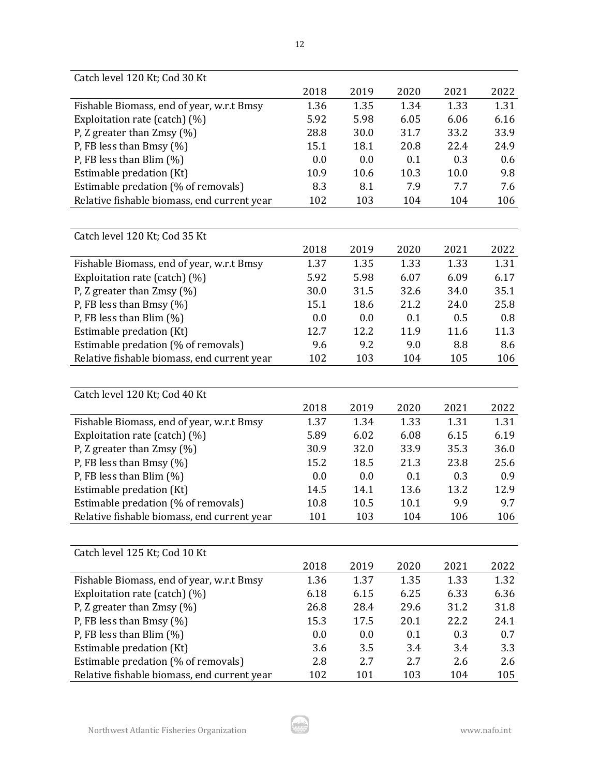| Catch level 120 Kt; Cod 30 Kt               |      |      |      |      |      |
|---------------------------------------------|------|------|------|------|------|
|                                             | 2018 | 2019 | 2020 | 2021 | 2022 |
| Fishable Biomass, end of year, w.r.t Bmsy   | 1.36 | 1.35 | 1.34 | 1.33 | 1.31 |
| Exploitation rate (catch) (%)               | 5.92 | 5.98 | 6.05 | 6.06 | 6.16 |
| P, Z greater than $Zmsy$ (%)                | 28.8 | 30.0 | 31.7 | 33.2 | 33.9 |
| P, FB less than Bmsy $(\%)$                 | 15.1 | 18.1 | 20.8 | 22.4 | 24.9 |
| P, FB less than Blim $(\%)$                 | 0.0  | 0.0  | 0.1  | 0.3  | 0.6  |
| Estimable predation (Kt)                    | 10.9 | 10.6 | 10.3 | 10.0 | 9.8  |
| Estimable predation (% of removals)         | 8.3  | 8.1  | 7.9  | 7.7  | 7.6  |
| Relative fishable biomass, end current year | 102  | 103  | 104  | 104  | 106  |
|                                             |      |      |      |      |      |
| Catch level 120 Kt; Cod 35 Kt               |      |      |      |      |      |
|                                             | 2018 | 2019 | 2020 | 2021 | 2022 |
| Fishable Biomass, end of year, w.r.t Bmsy   | 1.37 | 1.35 | 1.33 | 1.33 | 1.31 |
| Exploitation rate (catch) (%)               | 5.92 | 5.98 | 6.07 | 6.09 | 6.17 |
| P, Z greater than $Zmsy$ (%)                | 30.0 | 31.5 | 32.6 | 34.0 | 35.1 |
| P, FB less than Bmsy (%)                    | 15.1 | 18.6 | 21.2 | 24.0 | 25.8 |
| P, FB less than Blim $(\%)$                 | 0.0  | 0.0  | 0.1  | 0.5  | 0.8  |
| Estimable predation (Kt)                    | 12.7 | 12.2 | 11.9 | 11.6 | 11.3 |
| Estimable predation (% of removals)         | 9.6  | 9.2  | 9.0  | 8.8  | 8.6  |
| Relative fishable biomass, end current year | 102  | 103  | 104  | 105  | 106  |
|                                             |      |      |      |      |      |
| Catch level 120 Kt; Cod 40 Kt               |      |      |      |      |      |
|                                             | 2018 | 2019 | 2020 | 2021 | 2022 |
| Fishable Biomass, end of year, w.r.t Bmsy   | 1.37 | 1.34 | 1.33 | 1.31 | 1.31 |
| Exploitation rate (catch) (%)               | 5.89 | 6.02 | 6.08 | 6.15 | 6.19 |
| P, Z greater than $Zmsy$ (%)                | 30.9 | 32.0 | 33.9 | 35.3 | 36.0 |
| P, FB less than Bmsy $(\%)$                 | 15.2 | 18.5 | 21.3 | 23.8 | 25.6 |
| P, FB less than Blim $(\%)$                 | 0.0  | 0.0  | 0.1  | 0.3  | 0.9  |
| Estimable predation (Kt)                    | 14.5 | 14.1 | 13.6 | 13.2 | 12.9 |
| Estimable predation (% of removals)         | 10.8 | 10.5 | 10.1 | 9.9  | 9.7  |
| Relative fishable biomass, end current year | 101  | 103  | 104  | 106  | 106  |
|                                             |      |      |      |      |      |
| Catch level 125 Kt; Cod 10 Kt               |      |      |      |      |      |
|                                             | 2018 | 2019 | 2020 | 2021 | 2022 |
| Fishable Biomass, end of year, w.r.t Bmsy   | 1.36 | 1.37 | 1.35 | 1.33 | 1.32 |
| Exploitation rate (catch) (%)               | 6.18 | 6.15 | 6.25 | 6.33 | 6.36 |
| P, Z greater than $Zmsy$ (%)                | 26.8 | 28.4 | 29.6 | 31.2 | 31.8 |
| P, FB less than Bmsy (%)                    | 15.3 | 17.5 | 20.1 | 22.2 | 24.1 |
| P, FB less than Blim $(\%)$                 | 0.0  | 0.0  | 0.1  | 0.3  | 0.7  |
| Estimable predation (Kt)                    | 3.6  | 3.5  | 3.4  | 3.4  | 3.3  |
| Estimable predation (% of removals)         | 2.8  | 2.7  | 2.7  | 2.6  | 2.6  |
| Relative fishable biomass, end current year | 102  | 101  | 103  | 104  | 105  |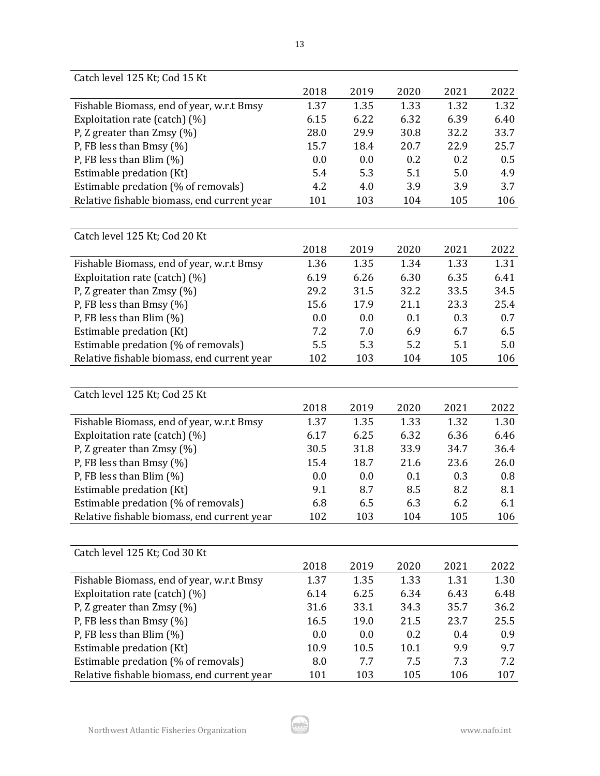| Catch level 125 Kt; Cod 15 Kt               |      |      |      |      |      |
|---------------------------------------------|------|------|------|------|------|
|                                             | 2018 | 2019 | 2020 | 2021 | 2022 |
| Fishable Biomass, end of year, w.r.t Bmsy   | 1.37 | 1.35 | 1.33 | 1.32 | 1.32 |
| Exploitation rate (catch) (%)               | 6.15 | 6.22 | 6.32 | 6.39 | 6.40 |
| P, Z greater than $Zmsy$ (%)                | 28.0 | 29.9 | 30.8 | 32.2 | 33.7 |
| P, FB less than Bmsy $(\%)$                 | 15.7 | 18.4 | 20.7 | 22.9 | 25.7 |
| P, FB less than Blim $(\%)$                 | 0.0  | 0.0  | 0.2  | 0.2  | 0.5  |
| Estimable predation (Kt)                    | 5.4  | 5.3  | 5.1  | 5.0  | 4.9  |
| Estimable predation (% of removals)         | 4.2  | 4.0  | 3.9  | 3.9  | 3.7  |
| Relative fishable biomass, end current year | 101  | 103  | 104  | 105  | 106  |
|                                             |      |      |      |      |      |
| Catch level 125 Kt; Cod 20 Kt               |      |      |      |      |      |
|                                             | 2018 | 2019 | 2020 | 2021 | 2022 |
| Fishable Biomass, end of year, w.r.t Bmsy   | 1.36 | 1.35 | 1.34 | 1.33 | 1.31 |
| Exploitation rate (catch) (%)               | 6.19 | 6.26 | 6.30 | 6.35 | 6.41 |
| P, Z greater than Zmsy (%)                  | 29.2 | 31.5 | 32.2 | 33.5 | 34.5 |
| P, FB less than Bmsy $(\%)$                 | 15.6 | 17.9 | 21.1 | 23.3 | 25.4 |
| P, FB less than Blim $(\%)$                 | 0.0  | 0.0  | 0.1  | 0.3  | 0.7  |
| Estimable predation (Kt)                    | 7.2  | 7.0  | 6.9  | 6.7  | 6.5  |
| Estimable predation (% of removals)         | 5.5  | 5.3  | 5.2  | 5.1  | 5.0  |
| Relative fishable biomass, end current year | 102  | 103  | 104  | 105  | 106  |
|                                             |      |      |      |      |      |
| Catch level 125 Kt; Cod 25 Kt               |      |      |      |      |      |
|                                             | 2018 | 2019 | 2020 | 2021 | 2022 |
| Fishable Biomass, end of year, w.r.t Bmsy   | 1.37 | 1.35 | 1.33 | 1.32 | 1.30 |
| Exploitation rate (catch) (%)               | 6.17 | 6.25 | 6.32 | 6.36 | 6.46 |
| P, Z greater than $Zmsy$ (%)                | 30.5 | 31.8 | 33.9 | 34.7 | 36.4 |
| P, FB less than Bmsy (%)                    | 15.4 | 18.7 | 21.6 | 23.6 | 26.0 |
| P, FB less than Blim $(\%)$                 | 0.0  | 0.0  | 0.1  | 0.3  | 0.8  |
| Estimable predation (Kt)                    | 9.1  | 8.7  | 8.5  | 8.2  | 8.1  |
| Estimable predation (% of removals)         | 6.8  | 6.5  | 6.3  | 6.2  | 6.1  |
| Relative fishable biomass, end current year | 102  | 103  | 104  | 105  | 106  |
|                                             |      |      |      |      |      |
| Catch level 125 Kt; Cod 30 Kt               |      |      |      |      |      |
|                                             | 2018 | 2019 | 2020 | 2021 | 2022 |
| Fishable Biomass, end of year, w.r.t Bmsy   | 1.37 | 1.35 | 1.33 | 1.31 | 1.30 |
| Exploitation rate (catch) (%)               | 6.14 | 6.25 | 6.34 | 6.43 | 6.48 |
| P, Z greater than $Zmsy$ (%)                | 31.6 | 33.1 | 34.3 | 35.7 | 36.2 |
| P, FB less than Bmsy (%)                    | 16.5 | 19.0 | 21.5 | 23.7 | 25.5 |
| P, FB less than Blim $(\%)$                 | 0.0  | 0.0  | 0.2  | 0.4  | 0.9  |
| Estimable predation (Kt)                    | 10.9 | 10.5 | 10.1 | 9.9  | 9.7  |
| Estimable predation (% of removals)         | 8.0  | 7.7  | 7.5  | 7.3  | 7.2  |
| Relative fishable biomass, end current year | 101  | 103  | 105  | 106  | 107  |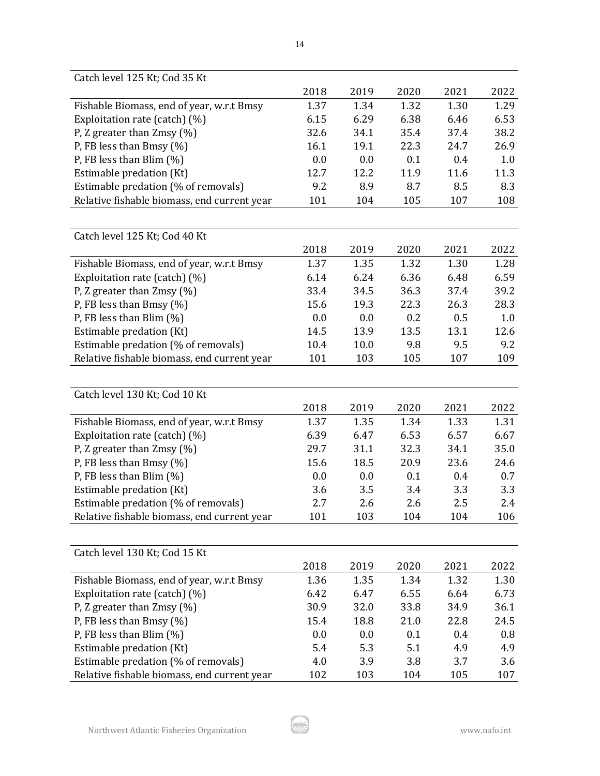| Catch level 125 Kt; Cod 35 Kt               |      |      |      |      |      |
|---------------------------------------------|------|------|------|------|------|
|                                             | 2018 | 2019 | 2020 | 2021 | 2022 |
| Fishable Biomass, end of year, w.r.t Bmsy   | 1.37 | 1.34 | 1.32 | 1.30 | 1.29 |
| Exploitation rate (catch) (%)               | 6.15 | 6.29 | 6.38 | 6.46 | 6.53 |
| P, Z greater than $Zmsy$ (%)                | 32.6 | 34.1 | 35.4 | 37.4 | 38.2 |
| P, FB less than Bmsy $(\%)$                 | 16.1 | 19.1 | 22.3 | 24.7 | 26.9 |
| P, FB less than Blim $(\%)$                 | 0.0  | 0.0  | 0.1  | 0.4  | 1.0  |
| Estimable predation (Kt)                    | 12.7 | 12.2 | 11.9 | 11.6 | 11.3 |
| Estimable predation (% of removals)         | 9.2  | 8.9  | 8.7  | 8.5  | 8.3  |
| Relative fishable biomass, end current year | 101  | 104  | 105  | 107  | 108  |
|                                             |      |      |      |      |      |
| Catch level 125 Kt; Cod 40 Kt               |      |      |      |      |      |
|                                             | 2018 | 2019 | 2020 | 2021 | 2022 |
| Fishable Biomass, end of year, w.r.t Bmsy   | 1.37 | 1.35 | 1.32 | 1.30 | 1.28 |
| Exploitation rate (catch) (%)               | 6.14 | 6.24 | 6.36 | 6.48 | 6.59 |
| P, Z greater than Zmsy (%)                  | 33.4 | 34.5 | 36.3 | 37.4 | 39.2 |
| P, FB less than Bmsy $(\%)$                 | 15.6 | 19.3 | 22.3 | 26.3 | 28.3 |
| P, FB less than Blim $(\%)$                 | 0.0  | 0.0  | 0.2  | 0.5  | 1.0  |
| Estimable predation (Kt)                    | 14.5 | 13.9 | 13.5 | 13.1 | 12.6 |
| Estimable predation (% of removals)         | 10.4 | 10.0 | 9.8  | 9.5  | 9.2  |
| Relative fishable biomass, end current year | 101  | 103  | 105  | 107  | 109  |
|                                             |      |      |      |      |      |
| Catch level 130 Kt; Cod 10 Kt               |      |      |      |      |      |
|                                             | 2018 | 2019 | 2020 | 2021 | 2022 |
| Fishable Biomass, end of year, w.r.t Bmsy   | 1.37 | 1.35 | 1.34 | 1.33 | 1.31 |
| Exploitation rate (catch) (%)               | 6.39 | 6.47 | 6.53 | 6.57 | 6.67 |
| P, Z greater than $Zmsy$ (%)                | 29.7 | 31.1 | 32.3 | 34.1 | 35.0 |
| P, FB less than Bmsy $(\%)$                 | 15.6 | 18.5 | 20.9 | 23.6 | 24.6 |
| P, FB less than Blim (%)                    | 0.0  | 0.0  | 0.1  | 0.4  | 0.7  |
| Estimable predation (Kt)                    | 3.6  | 3.5  | 3.4  | 3.3  | 3.3  |
| Estimable predation (% of removals)         | 2.7  | 2.6  | 2.6  | 2.5  | 2.4  |
| Relative fishable biomass, end current year | 101  | 103  | 104  | 104  | 106  |
|                                             |      |      |      |      |      |
| Catch level 130 Kt; Cod 15 Kt               |      |      |      |      |      |
|                                             | 2018 | 2019 | 2020 | 2021 | 2022 |
| Fishable Biomass, end of year, w.r.t Bmsy   | 1.36 | 1.35 | 1.34 | 1.32 | 1.30 |
| Exploitation rate (catch) (%)               | 6.42 | 6.47 | 6.55 | 6.64 | 6.73 |
| P, Z greater than $Zmsy$ (%)                | 30.9 | 32.0 | 33.8 | 34.9 | 36.1 |
| P, FB less than Bmsy (%)                    | 15.4 | 18.8 | 21.0 | 22.8 | 24.5 |
| P, FB less than Blim $(\%)$                 | 0.0  | 0.0  | 0.1  | 0.4  | 0.8  |
| Estimable predation (Kt)                    | 5.4  | 5.3  | 5.1  | 4.9  | 4.9  |
| Estimable predation (% of removals)         | 4.0  | 3.9  | 3.8  | 3.7  | 3.6  |
| Relative fishable biomass, end current year | 102  | 103  | 104  | 105  | 107  |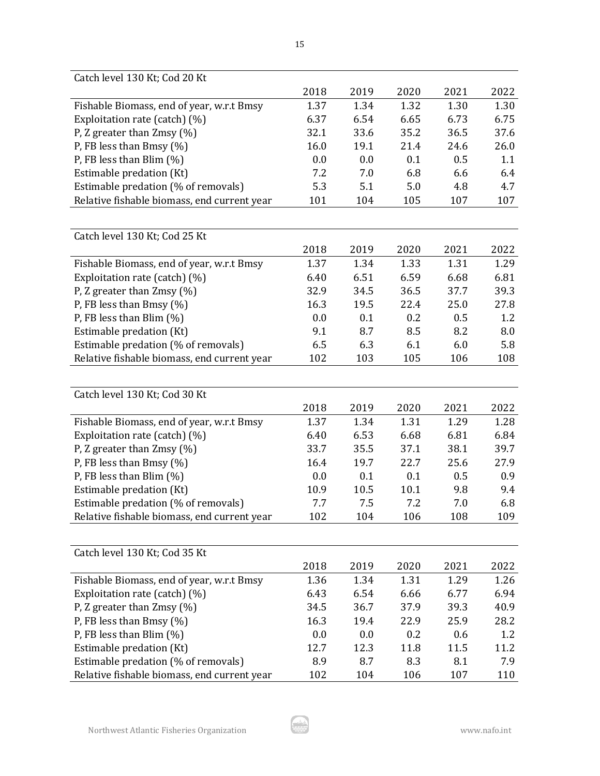| Catch level 130 Kt; Cod 20 Kt               |      |      |      |      |      |
|---------------------------------------------|------|------|------|------|------|
|                                             | 2018 | 2019 | 2020 | 2021 | 2022 |
| Fishable Biomass, end of year, w.r.t Bmsy   | 1.37 | 1.34 | 1.32 | 1.30 | 1.30 |
| Exploitation rate (catch) (%)               | 6.37 | 6.54 | 6.65 | 6.73 | 6.75 |
| P, Z greater than $Zmsy$ (%)                | 32.1 | 33.6 | 35.2 | 36.5 | 37.6 |
| P, FB less than Bmsy $(\%)$                 | 16.0 | 19.1 | 21.4 | 24.6 | 26.0 |
| P, FB less than Blim $(\%)$                 | 0.0  | 0.0  | 0.1  | 0.5  | 1.1  |
| Estimable predation (Kt)                    | 7.2  | 7.0  | 6.8  | 6.6  | 6.4  |
| Estimable predation (% of removals)         | 5.3  | 5.1  | 5.0  | 4.8  | 4.7  |
| Relative fishable biomass, end current year | 101  | 104  | 105  | 107  | 107  |
|                                             |      |      |      |      |      |
| Catch level 130 Kt; Cod 25 Kt               |      |      |      |      |      |
|                                             | 2018 | 2019 | 2020 | 2021 | 2022 |
| Fishable Biomass, end of year, w.r.t Bmsy   | 1.37 | 1.34 | 1.33 | 1.31 | 1.29 |
| Exploitation rate (catch) (%)               | 6.40 | 6.51 | 6.59 | 6.68 | 6.81 |
| P, Z greater than Zmsy (%)                  | 32.9 | 34.5 | 36.5 | 37.7 | 39.3 |
| P, FB less than Bmsy $(\%)$                 | 16.3 | 19.5 | 22.4 | 25.0 | 27.8 |
| P, FB less than Blim $(\%)$                 | 0.0  | 0.1  | 0.2  | 0.5  | 1.2  |
| Estimable predation (Kt)                    | 9.1  | 8.7  | 8.5  | 8.2  | 8.0  |
| Estimable predation (% of removals)         | 6.5  | 6.3  | 6.1  | 6.0  | 5.8  |
| Relative fishable biomass, end current year | 102  | 103  | 105  | 106  | 108  |
|                                             |      |      |      |      |      |
| Catch level 130 Kt; Cod 30 Kt               |      |      |      |      |      |
|                                             | 2018 | 2019 | 2020 | 2021 | 2022 |
| Fishable Biomass, end of year, w.r.t Bmsy   | 1.37 | 1.34 | 1.31 | 1.29 | 1.28 |
| Exploitation rate (catch) (%)               | 6.40 | 6.53 | 6.68 | 6.81 | 6.84 |
| P, Z greater than $Zmsy$ (%)                | 33.7 | 35.5 | 37.1 | 38.1 | 39.7 |
| P, FB less than Bmsy $(\%)$                 | 16.4 | 19.7 | 22.7 | 25.6 | 27.9 |
| P, FB less than Blim $(\%)$                 | 0.0  | 0.1  | 0.1  | 0.5  | 0.9  |
| Estimable predation (Kt)                    | 10.9 | 10.5 | 10.1 | 9.8  | 9.4  |
| Estimable predation (% of removals)         | 7.7  | 7.5  | 7.2  | 7.0  | 6.8  |
| Relative fishable biomass, end current year | 102  | 104  | 106  | 108  | 109  |
|                                             |      |      |      |      |      |
| Catch level 130 Kt; Cod 35 Kt               |      |      |      |      |      |
|                                             | 2018 | 2019 | 2020 | 2021 | 2022 |
| Fishable Biomass, end of year, w.r.t Bmsy   | 1.36 | 1.34 | 1.31 | 1.29 | 1.26 |
| Exploitation rate (catch) (%)               | 6.43 | 6.54 | 6.66 | 6.77 | 6.94 |
| P, Z greater than $Z$ msy (%)               | 34.5 | 36.7 | 37.9 | 39.3 | 40.9 |
| P, FB less than Bmsy (%)                    | 16.3 | 19.4 | 22.9 | 25.9 | 28.2 |
| P, FB less than Blim (%)                    | 0.0  | 0.0  | 0.2  | 0.6  | 1.2  |
| Estimable predation (Kt)                    | 12.7 | 12.3 | 11.8 | 11.5 | 11.2 |
| Estimable predation (% of removals)         | 8.9  | 8.7  | 8.3  | 8.1  | 7.9  |
| Relative fishable biomass, end current year | 102  | 104  | 106  | 107  | 110  |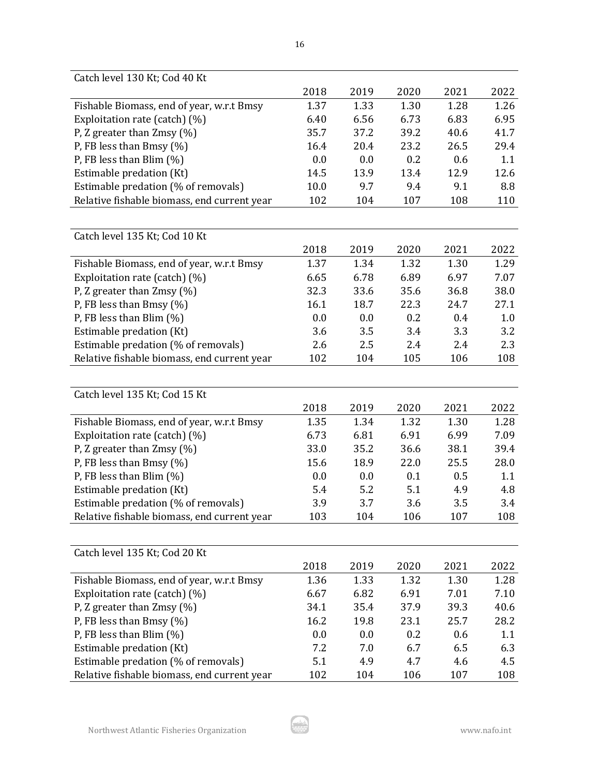| Catch level 130 Kt; Cod 40 Kt               |      |      |      |      |      |
|---------------------------------------------|------|------|------|------|------|
|                                             | 2018 | 2019 | 2020 | 2021 | 2022 |
| Fishable Biomass, end of year, w.r.t Bmsy   | 1.37 | 1.33 | 1.30 | 1.28 | 1.26 |
| Exploitation rate (catch) (%)               | 6.40 | 6.56 | 6.73 | 6.83 | 6.95 |
| P, Z greater than $Zmsy$ (%)                | 35.7 | 37.2 | 39.2 | 40.6 | 41.7 |
| P, FB less than Bmsy $(\%)$                 | 16.4 | 20.4 | 23.2 | 26.5 | 29.4 |
| P, FB less than Blim $(\%)$                 | 0.0  | 0.0  | 0.2  | 0.6  | 1.1  |
| Estimable predation (Kt)                    | 14.5 | 13.9 | 13.4 | 12.9 | 12.6 |
| Estimable predation (% of removals)         | 10.0 | 9.7  | 9.4  | 9.1  | 8.8  |
| Relative fishable biomass, end current year | 102  | 104  | 107  | 108  | 110  |
|                                             |      |      |      |      |      |
| Catch level 135 Kt; Cod 10 Kt               |      |      |      |      |      |
|                                             | 2018 | 2019 | 2020 | 2021 | 2022 |
| Fishable Biomass, end of year, w.r.t Bmsy   | 1.37 | 1.34 | 1.32 | 1.30 | 1.29 |
| Exploitation rate (catch) (%)               | 6.65 | 6.78 | 6.89 | 6.97 | 7.07 |
| P, Z greater than Zmsy (%)                  | 32.3 | 33.6 | 35.6 | 36.8 | 38.0 |
| P, FB less than Bmsy $(\%)$                 | 16.1 | 18.7 | 22.3 | 24.7 | 27.1 |
| P, FB less than Blim $(\%)$                 | 0.0  | 0.0  | 0.2  | 0.4  | 1.0  |
| Estimable predation (Kt)                    | 3.6  | 3.5  | 3.4  | 3.3  | 3.2  |
| Estimable predation (% of removals)         | 2.6  | 2.5  | 2.4  | 2.4  | 2.3  |
| Relative fishable biomass, end current year | 102  | 104  | 105  | 106  | 108  |
|                                             |      |      |      |      |      |
| Catch level 135 Kt; Cod 15 Kt               |      |      |      |      |      |
|                                             | 2018 | 2019 | 2020 | 2021 | 2022 |
| Fishable Biomass, end of year, w.r.t Bmsy   | 1.35 | 1.34 | 1.32 | 1.30 | 1.28 |
| Exploitation rate (catch) (%)               | 6.73 | 6.81 | 6.91 | 6.99 | 7.09 |
| P, Z greater than $Zmsy$ (%)                | 33.0 | 35.2 | 36.6 | 38.1 | 39.4 |
| P, FB less than Bmsy (%)                    | 15.6 | 18.9 | 22.0 | 25.5 | 28.0 |
| P, FB less than Blim $(\%)$                 | 0.0  | 0.0  | 0.1  | 0.5  | 1.1  |
| Estimable predation (Kt)                    | 5.4  | 5.2  | 5.1  | 4.9  | 4.8  |
| Estimable predation (% of removals)         | 3.9  | 3.7  | 3.6  | 3.5  | 3.4  |
| Relative fishable biomass, end current year | 103  | 104  | 106  | 107  | 108  |
|                                             |      |      |      |      |      |
| Catch level 135 Kt; Cod 20 Kt               |      |      |      |      |      |
|                                             | 2018 | 2019 | 2020 | 2021 | 2022 |
| Fishable Biomass, end of year, w.r.t Bmsy   | 1.36 | 1.33 | 1.32 | 1.30 | 1.28 |
| Exploitation rate (catch) (%)               | 6.67 | 6.82 | 6.91 | 7.01 | 7.10 |
| P, Z greater than $Z$ msy (%)               | 34.1 | 35.4 | 37.9 | 39.3 | 40.6 |
| P, FB less than Bmsy (%)                    | 16.2 | 19.8 | 23.1 | 25.7 | 28.2 |
| P, FB less than Blim $(\%)$                 | 0.0  | 0.0  | 0.2  | 0.6  | 1.1  |
| Estimable predation (Kt)                    | 7.2  | 7.0  | 6.7  | 6.5  | 6.3  |
| Estimable predation (% of removals)         | 5.1  | 4.9  | 4.7  | 4.6  | 4.5  |
| Relative fishable biomass, end current year | 102  | 104  | 106  | 107  | 108  |